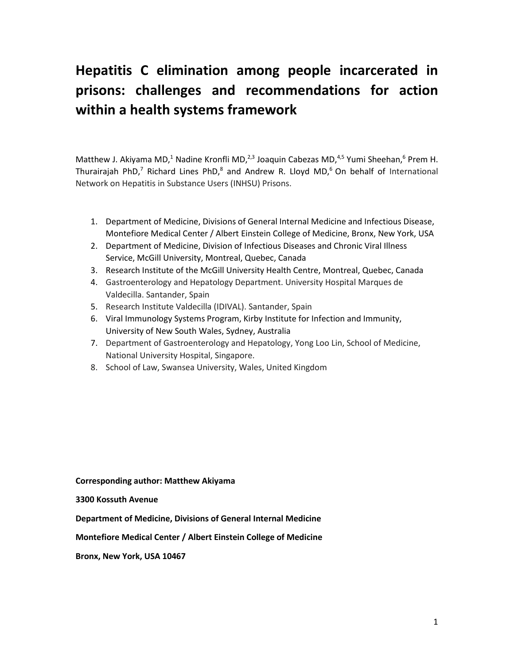# **Hepatitis C elimination among people incarcerated in prisons: challenges and recommendations for action within a health systems framework**

Matthew J. Akiyama MD,<sup>1</sup> Nadine Kronfli MD,<sup>2,3</sup> Joaquin Cabezas MD,<sup>4,5</sup> Yumi Sheehan,<sup>6</sup> Prem H. Thurairajah PhD,<sup>7</sup> Richard Lines PhD,<sup>8</sup> and Andrew R. Lloyd MD,<sup>6</sup> On behalf of International Network on Hepatitis in Substance Users (INHSU) Prisons.

- 1. Department of Medicine, Divisions of General Internal Medicine and Infectious Disease, Montefiore Medical Center / Albert Einstein College of Medicine, Bronx, New York, USA
- 2. Department of Medicine, Division of Infectious Diseases and Chronic Viral Illness Service, McGill University, Montreal, Quebec, Canada
- 3. Research Institute of the McGill University Health Centre, Montreal, Quebec, Canada
- 4. Gastroenterology and Hepatology Department. University Hospital Marques de Valdecilla. Santander, Spain
- 5. Research Institute Valdecilla (IDIVAL). Santander, Spain
- 6. Viral Immunology Systems Program, Kirby Institute for Infection and Immunity, University of New South Wales, Sydney, Australia
- 7. Department of Gastroenterology and Hepatology, Yong Loo Lin, School of Medicine, National University Hospital, Singapore.
- 8. School of Law, Swansea University, Wales, United Kingdom

**Corresponding author: Matthew Akiyama** 

**3300 Kossuth Avenue**

**Department of Medicine, Divisions of General Internal Medicine** 

**Montefiore Medical Center / Albert Einstein College of Medicine**

**Bronx, New York, USA 10467**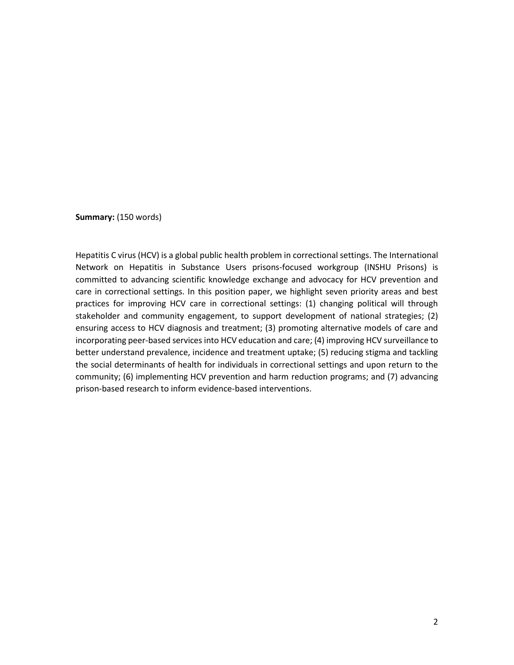**Summary:** (150 words)

Hepatitis C virus (HCV) is a global public health problem in correctional settings. The International Network on Hepatitis in Substance Users prisons-focused workgroup (INSHU Prisons) is committed to advancing scientific knowledge exchange and advocacy for HCV prevention and care in correctional settings. In this position paper, we highlight seven priority areas and best practices for improving HCV care in correctional settings: (1) changing political will through stakeholder and community engagement, to support development of national strategies; (2) ensuring access to HCV diagnosis and treatment; (3) promoting alternative models of care and incorporating peer-based services into HCV education and care; (4) improving HCV surveillance to better understand prevalence, incidence and treatment uptake; (5) reducing stigma and tackling the social determinants of health for individuals in correctional settings and upon return to the community; (6) implementing HCV prevention and harm reduction programs; and (7) advancing prison-based research to inform evidence-based interventions.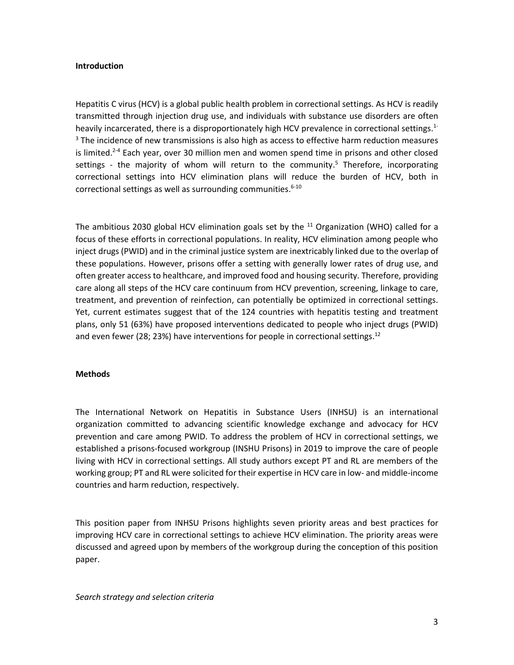### **Introduction**

Hepatitis C virus (HCV) is a global public health problem in correctional settings. As HCV is readily transmitted through injection drug use, and individuals with substance use disorders are often heavily incarcerated, there is a disproportionately high HCV prevalence in correctional settings.<sup>1-</sup>  $3$  The incidence of new transmissions is also high as access to effective harm reduction measures is limited.<sup>2-4</sup> Each year, over 30 million men and women spend time in prisons and other closed settings - the majority of whom will return to the community.<sup>5</sup> Therefore, incorporating correctional settings into HCV elimination plans will reduce the burden of HCV, both in correctional settings as well as surrounding communities. 6-10

The ambitious 2030 global HCV elimination goals set by the  $^{11}$  Organization (WHO) called for a focus of these efforts in correctional populations. In reality, HCV elimination among people who inject drugs (PWID) and in the criminal justice system are inextricably linked due to the overlap of these populations. However, prisons offer a setting with generally lower rates of drug use, and often greater access to healthcare, and improved food and housing security. Therefore, providing care along all steps of the HCV care continuum from HCV prevention, screening, linkage to care, treatment, and prevention of reinfection, can potentially be optimized in correctional settings. Yet, current estimates suggest that of the 124 countries with hepatitis testing and treatment plans, only 51 (63%) have proposed interventions dedicated to people who inject drugs (PWID) and even fewer (28; 23%) have interventions for people in correctional settings.<sup>12</sup>

### **Methods**

The International Network on Hepatitis in Substance Users (INHSU) is an international organization committed to advancing scientific knowledge exchange and advocacy for HCV prevention and care among PWID. To address the problem of HCV in correctional settings, we established a prisons-focused workgroup (INSHU Prisons) in 2019 to improve the care of people living with HCV in correctional settings. All study authors except PT and RL are members of the working group; PT and RL were solicited for their expertise in HCV care in low- and middle-income countries and harm reduction, respectively.

This position paper from INHSU Prisons highlights seven priority areas and best practices for improving HCV care in correctional settings to achieve HCV elimination. The priority areas were discussed and agreed upon by members of the workgroup during the conception of this position paper.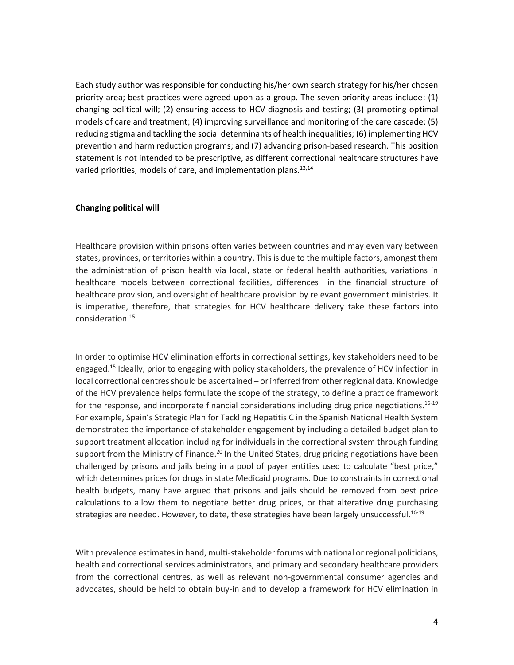Each study author was responsible for conducting his/her own search strategy for his/her chosen priority area; best practices were agreed upon as a group. The seven priority areas include: (1) changing political will; (2) ensuring access to HCV diagnosis and testing; (3) promoting optimal models of care and treatment; (4) improving surveillance and monitoring of the care cascade; (5) reducing stigma and tackling the social determinants of health inequalities; (6) implementing HCV prevention and harm reduction programs; and (7) advancing prison-based research. This position statement is not intended to be prescriptive, as different correctional healthcare structures have varied priorities, models of care, and implementation plans.<sup>13,14</sup>

### **Changing political will**

Healthcare provision within prisons often varies between countries and may even vary between states, provinces, or territories within a country. This is due to the multiple factors, amongst them the administration of prison health via local, state or federal health authorities, variations in healthcare models between correctional facilities, differences in the financial structure of healthcare provision, and oversight of healthcare provision by relevant government ministries. It is imperative, therefore, that strategies for HCV healthcare delivery take these factors into consideration.<sup>15</sup>

In order to optimise HCV elimination efforts in correctional settings, key stakeholders need to be engaged.<sup>15</sup> Ideally, prior to engaging with policy stakeholders, the prevalence of HCV infection in local correctional centres should be ascertained – or inferred from other regional data. Knowledge of the HCV prevalence helps formulate the scope of the strategy, to define a practice framework for the response, and incorporate financial considerations including drug price negotiations.<sup>16-19</sup> For example, Spain's Strategic Plan for Tackling Hepatitis C in the Spanish National Health System demonstrated the importance of stakeholder engagement by including a detailed budget plan to support treatment allocation including for individuals in the correctional system through funding support from the Ministry of Finance.<sup>20</sup> In the United States, drug pricing negotiations have been challenged by prisons and jails being in a pool of payer entities used to calculate "best price," which determines prices for drugs in state Medicaid programs. Due to constraints in correctional health budgets, many have argued that prisons and jails should be removed from best price calculations to allow them to negotiate better drug prices, or that alterative drug purchasing strategies are needed. However, to date, these strategies have been largely unsuccessful.<sup>16-19</sup>

With prevalence estimates in hand, multi-stakeholder forums with national or regional politicians, health and correctional services administrators, and primary and secondary healthcare providers from the correctional centres, as well as relevant non-governmental consumer agencies and advocates, should be held to obtain buy-in and to develop a framework for HCV elimination in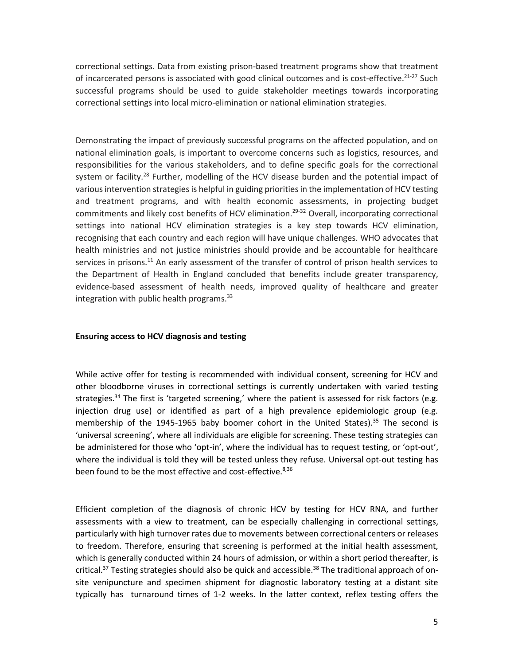correctional settings. Data from existing prison-based treatment programs show that treatment of incarcerated persons is associated with good clinical outcomes and is cost-effective.<sup>21-27</sup> Such successful programs should be used to guide stakeholder meetings towards incorporating correctional settings into local micro-elimination or national elimination strategies.

Demonstrating the impact of previously successful programs on the affected population, and on national elimination goals, is important to overcome concerns such as logistics, resources, and responsibilities for the various stakeholders, and to define specific goals for the correctional system or facility.<sup>28</sup> Further, modelling of the HCV disease burden and the potential impact of various intervention strategies is helpful in guiding priorities in the implementation of HCV testing and treatment programs, and with health economic assessments, in projecting budget commitments and likely cost benefits of HCV elimination. 29-32 Overall, incorporating correctional settings into national HCV elimination strategies is a key step towards HCV elimination, recognising that each country and each region will have unique challenges. WHO advocates that health ministries and not justice ministries should provide and be accountable for healthcare services in prisons.<sup>11</sup> An early assessment of the transfer of control of prison health services to the Department of Health in England concluded that benefits include greater transparency, evidence-based assessment of health needs, improved quality of healthcare and greater integration with public health programs. $33$ 

### **Ensuring access to HCV diagnosis and testing**

While active offer for testing is recommended with individual consent, screening for HCV and other bloodborne viruses in correctional settings is currently undertaken with varied testing strategies.<sup>34</sup> The first is 'targeted screening,' where the patient is assessed for risk factors (e.g. injection drug use) or identified as part of a high prevalence epidemiologic group (e.g. membership of the 1945-1965 baby boomer cohort in the United States).<sup>35</sup> The second is 'universal screening', where all individuals are eligible for screening. These testing strategies can be administered for those who 'opt-in', where the individual has to request testing, or 'opt-out', where the individual is told they will be tested unless they refuse. Universal opt-out testing has been found to be the most effective and cost-effective.<sup>8,36</sup>

Efficient completion of the diagnosis of chronic HCV by testing for HCV RNA, and further assessments with a view to treatment, can be especially challenging in correctional settings, particularly with high turnover rates due to movements between correctional centers or releases to freedom. Therefore, ensuring that screening is performed at the initial health assessment, which is generally conducted within 24 hours of admission, or within a short period thereafter, is critical.<sup>37</sup> Testing strategies should also be quick and accessible.<sup>38</sup> The traditional approach of onsite venipuncture and specimen shipment for diagnostic laboratory testing at a distant site typically has turnaround times of 1-2 weeks. In the latter context, reflex testing offers the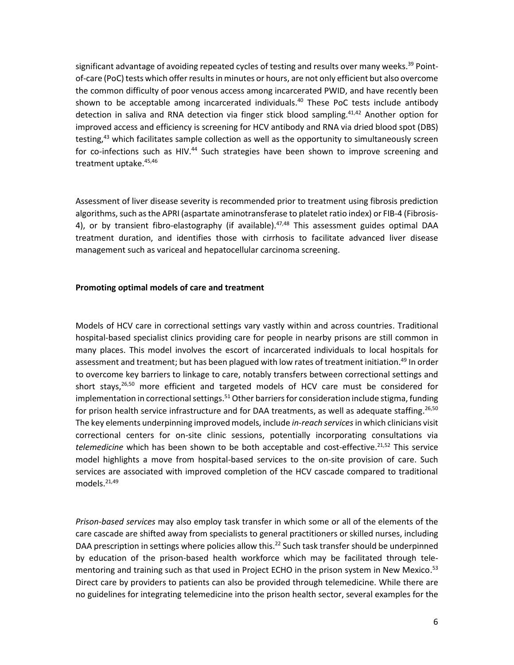significant advantage of avoiding repeated cycles of testing and results over many weeks.<sup>39</sup> Pointof-care (PoC) tests which offer results in minutes or hours, are not only efficient but also overcome the common difficulty of poor venous access among incarcerated PWID, and have recently been shown to be acceptable among incarcerated individuals. <sup>40</sup> These PoC tests include antibody detection in saliva and RNA detection via finger stick blood sampling.<sup>41,42</sup> Another option for improved access and efficiency is screening for HCV antibody and RNA via dried blood spot (DBS) testing,<sup>43</sup> which facilitates sample collection as well as the opportunity to simultaneously screen for co-infections such as HIV.<sup>44</sup> Such strategies have been shown to improve screening and treatment uptake. 45,46

Assessment of liver disease severity is recommended prior to treatment using fibrosis prediction algorithms, such as the APRI (aspartate aminotransferase to platelet ratio index) or FIB-4 (Fibrosis-4), or by transient fibro-elastography (if available).<sup>47,48</sup> This assessment guides optimal DAA treatment duration, and identifies those with cirrhosis to facilitate advanced liver disease management such as variceal and hepatocellular carcinoma screening.

## **Promoting optimal models of care and treatment**

Models of HCV care in correctional settings vary vastly within and across countries. Traditional hospital-based specialist clinics providing care for people in nearby prisons are still common in many places. This model involves the escort of incarcerated individuals to local hospitals for assessment and treatment; but has been plagued with low rates of treatment initiation.<sup>49</sup> In order to overcome key barriers to linkage to care, notably transfers between correctional settings and short stays,<sup>26,50</sup> more efficient and targeted models of HCV care must be considered for implementation in correctional settings.<sup>51</sup> Other barriers for consideration include stigma, funding for prison health service infrastructure and for DAA treatments, as well as adequate staffing.<sup>26,50</sup> The key elements underpinning improved models, include *in-reach services*in which clinicians visit correctional centers for on-site clinic sessions, potentially incorporating consultations via *telemedicine* which has been shown to be both acceptable and cost-effective.21,52 This service model highlights a move from hospital-based services to the on-site provision of care. Such services are associated with improved completion of the HCV cascade compared to traditional models. 21,49

*Prison-based services* may also employ task transfer in which some or all of the elements of the care cascade are shifted away from specialists to general practitioners or skilled nurses, including DAA prescription in settings where policies allow this.<sup>22</sup> Such task transfer should be underpinned by education of the prison-based health workforce which may be facilitated through telementoring and training such as that used in Project ECHO in the prison system in New Mexico.<sup>53</sup> Direct care by providers to patients can also be provided through telemedicine. While there are no guidelines for integrating telemedicine into the prison health sector, several examples for the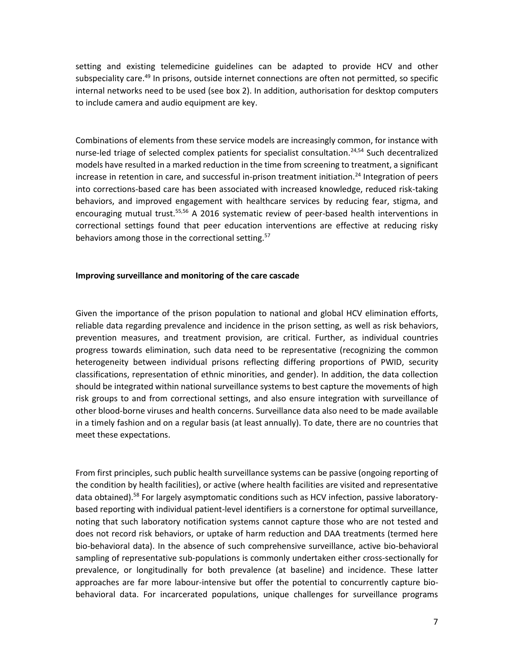setting and existing telemedicine guidelines can be adapted to provide HCV and other subspeciality care.<sup>49</sup> In prisons, outside internet connections are often not permitted, so specific internal networks need to be used (see box 2). In addition, authorisation for desktop computers to include camera and audio equipment are key.

Combinations of elements from these service models are increasingly common, for instance with nurse-led triage of selected complex patients for specialist consultation.<sup>24,54</sup> Such decentralized models have resulted in a marked reduction in the time from screening to treatment, a significant increase in retention in care, and successful in-prison treatment initiation.<sup>24</sup> Integration of peers into corrections-based care has been associated with increased knowledge, reduced risk-taking behaviors, and improved engagement with healthcare services by reducing fear, stigma, and encouraging mutual trust.<sup>55,56</sup> A 2016 systematic review of peer-based health interventions in correctional settings found that peer education interventions are effective at reducing risky behaviors among those in the correctional setting.<sup>57</sup>

#### **Improving surveillance and monitoring of the care cascade**

Given the importance of the prison population to national and global HCV elimination efforts, reliable data regarding prevalence and incidence in the prison setting, as well as risk behaviors, prevention measures, and treatment provision, are critical. Further, as individual countries progress towards elimination, such data need to be representative (recognizing the common heterogeneity between individual prisons reflecting differing proportions of PWID, security classifications, representation of ethnic minorities, and gender). In addition, the data collection should be integrated within national surveillance systems to best capture the movements of high risk groups to and from correctional settings, and also ensure integration with surveillance of other blood-borne viruses and health concerns. Surveillance data also need to be made available in a timely fashion and on a regular basis (at least annually). To date, there are no countries that meet these expectations.

From first principles, such public health surveillance systems can be passive (ongoing reporting of the condition by health facilities), or active (where health facilities are visited and representative data obtained).<sup>58</sup> For largely asymptomatic conditions such as HCV infection, passive laboratorybased reporting with individual patient-level identifiers is a cornerstone for optimal surveillance, noting that such laboratory notification systems cannot capture those who are not tested and does not record risk behaviors, or uptake of harm reduction and DAA treatments (termed here bio-behavioral data). In the absence of such comprehensive surveillance, active bio-behavioral sampling of representative sub-populations is commonly undertaken either cross-sectionally for prevalence, or longitudinally for both prevalence (at baseline) and incidence. These latter approaches are far more labour-intensive but offer the potential to concurrently capture biobehavioral data. For incarcerated populations, unique challenges for surveillance programs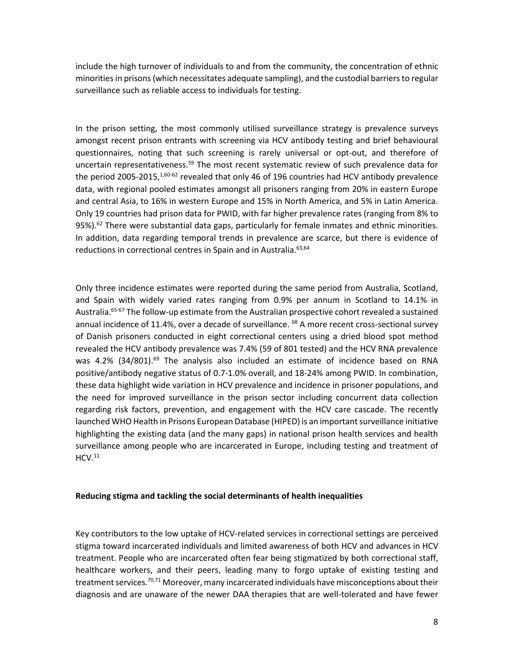include the high turnover of individuals to and from the community, the concentration of ethnic minorities in prisons (which necessitates adequate sampling), and the custodial barriers to regular surveillance such as reliable access to individuals for testing.

In the prison setting, the most commonly utilised surveillance strategy is prevalence surveys amongst recent prison entrants with screening via HCV antibody testing and brief behavioural questionnaires, noting that such screening is rarely universal or opt-out, and therefore of uncertain representativeness.<sup>59</sup> The most recent systematic review of such prevalence data for the period 2005-2015,  $^{1,60-62}$  revealed that only 46 of 196 countries had HCV antibody prevalence data, with regional pooled estimates amongst all prisoners ranging from 20% in eastern Europe and central Asia, to 16% in western Europe and 15% in North America, and 5% in Latin America. Only 19 countries had prison data for PWID, with far higher prevalence rates (ranging from 8% to 95%).<sup>62</sup> There were substantial data gaps, particularly for female inmates and ethnic minorities. In addition, data regarding temporal trends in prevalence are scarce, but there is evidence of reductions in correctional centres in Spain and in Australia.<sup>63,64</sup>

Only three incidence estimates were reported during the same period from Australia, Scotland, and Spain with widely varied rates ranging from 0.9% per annum in Scotland to 14.1% in Australia.<sup>65-67</sup> The follow-up estimate from the Australian prospective cohort revealed a sustained annual incidence of 11.4%, over a decade of surveillance. <sup>68</sup> A more recent cross-sectional survey of Danish prisoners conducted in eight correctional centers using a dried blood spot method revealed the HCV antibody prevalence was 7.4% (59 of 801 tested) and the HCV RNA prevalence was 4.2% (34/801).<sup>69</sup> The analysis also included an estimate of incidence based on RNA positive/antibody negative status of 0.7-1.0% overall, and 18-24% among PWID. In combination, these data highlight wide variation in HCV prevalence and incidence in prisoner populations, and the need for improved surveillance in the prison sector including concurrent data collection regarding risk factors, prevention, and engagement with the HCV care cascade. The recently launched WHO Health in Prisons European Database (HIPED) is an important surveillance initiative highlighting the existing data (and the many gaps) in national prison health services and health surveillance among people who are incarcerated in Europe, including testing and treatment of  $HCV.<sup>11</sup>$ 

#### **Reducing stigma and tackling the social determinants of health inequalities**

Key contributors to the low uptake of HCV-related services in correctional settings are perceived stigma toward incarcerated individuals and limited awareness of both HCV and advances in HCV treatment. People who are incarcerated often fear being stigmatized by both correctional staff, healthcare workers, and their peers, leading many to forgo uptake of existing testing and treatment services.<sup>70,71</sup> Moreover, many incarcerated individuals have misconceptions about their diagnosis and are unaware of the newer DAA therapies that are well-tolerated and have fewer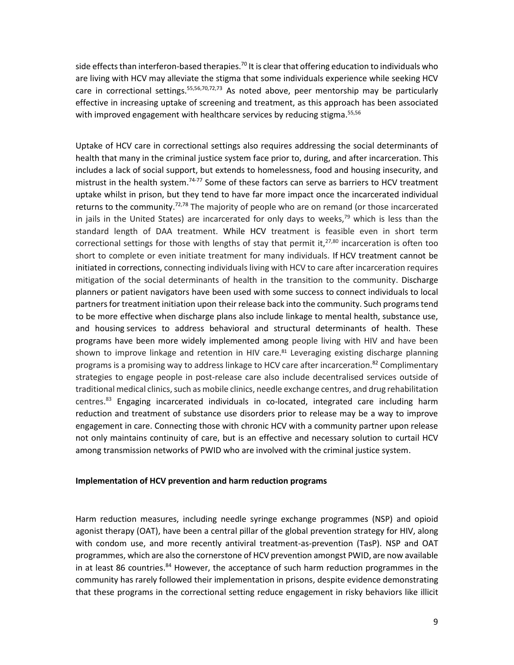side effects than interferon-based therapies.<sup>70</sup> It is clear that offering education to individuals who are living with HCV may alleviate the stigma that some individuals experience while seeking HCV care in correctional settings.  $55,56,70,72,73$  As noted above, peer mentorship may be particularly effective in increasing uptake of screening and treatment, as this approach has been associated with improved engagement with healthcare services by reducing stigma.<sup>55,56</sup>

Uptake of HCV care in correctional settings also requires addressing the social determinants of health that many in the criminal justice system face prior to, during, and after incarceration. This includes a lack of social support, but extends to homelessness, food and housing insecurity, and mistrust in the health system.<sup>74-77</sup> Some of these factors can serve as barriers to HCV treatment uptake whilst in prison, but they tend to have far more impact once the incarcerated individual returns to the community.<sup>72,78</sup> The majority of people who are on remand (or those incarcerated in jails in the United States) are incarcerated for only days to weeks,<sup>79</sup> which is less than the standard length of DAA treatment. While HCV treatment is feasible even in short term correctional settings for those with lengths of stay that permit it,<sup>27,80</sup> incarceration is often too short to complete or even initiate treatment for many individuals. If HCV treatment cannot be initiated in corrections, connecting individuals living with HCV to care after incarceration requires mitigation of the social determinants of health in the transition to the community. Discharge planners or patient navigators have been used with some success to connect individuals to local partners for treatment initiation upon their release back into the community. Such programs tend to be more effective when discharge plans also include linkage to mental health, substance use, and housing services to address behavioral and structural determinants of health. These programs have been more widely implemented among people living with HIV and have been shown to improve linkage and retention in HIV care.<sup>81</sup> Leveraging existing discharge planning programs is a promising way to address linkage to HCV care after incarceration.<sup>82</sup> Complimentary strategies to engage people in post-release care also include decentralised services outside of traditional medical clinics, such as mobile clinics, needle exchange centres, and drug rehabilitation centres.<sup>83</sup> Engaging incarcerated individuals in co-located, integrated care including harm reduction and treatment of substance use disorders prior to release may be a way to improve engagement in care. Connecting those with chronic HCV with a community partner upon release not only maintains continuity of care, but is an effective and necessary solution to curtail HCV among transmission networks of PWID who are involved with the criminal justice system.

### **Implementation of HCV prevention and harm reduction programs**

Harm reduction measures, including needle syringe exchange programmes (NSP) and opioid agonist therapy (OAT), have been a central pillar of the global prevention strategy for HIV, along with condom use, and more recently antiviral treatment-as-prevention (TasP). NSP and OAT programmes, which are also the cornerstone of HCV prevention amongst PWID, are now available in at least 86 countries.<sup>84</sup> However, the acceptance of such harm reduction programmes in the community has rarely followed their implementation in prisons, despite evidence demonstrating that these programs in the correctional setting reduce engagement in risky behaviors like illicit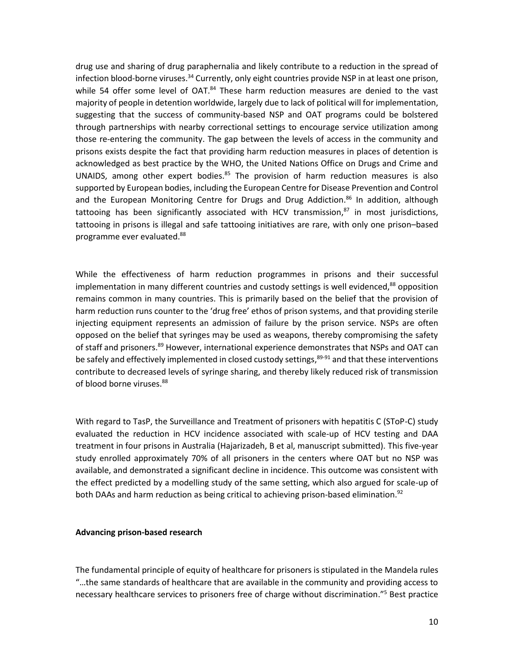drug use and sharing of drug paraphernalia and likely contribute to a reduction in the spread of infection blood-borne viruses.<sup>34</sup> Currently, only eight countries provide NSP in at least one prison, while 54 offer some level of OAT.<sup>84</sup> These harm reduction measures are denied to the vast majority of people in detention worldwide, largely due to lack of political will for implementation, suggesting that the success of community-based NSP and OAT programs could be bolstered through partnerships with nearby correctional settings to encourage service utilization among those re-entering the community. The gap between the levels of access in the community and prisons exists despite the fact that providing harm reduction measures in places of detention is acknowledged as best practice by the WHO, the United Nations Office on Drugs and Crime and UNAIDS, among other expert bodies.<sup>85</sup> The provision of harm reduction measures is also supported by European bodies, including the European Centre for Disease Prevention and Control and the European Monitoring Centre for Drugs and Drug Addiction. <sup>86</sup> In addition, although tattooing has been significantly associated with HCV transmission,<sup>87</sup> in most jurisdictions, tattooing in prisons is illegal and safe tattooing initiatives are rare, with only one prison–based programme ever evaluated. 88

While the effectiveness of harm reduction programmes in prisons and their successful implementation in many different countries and custody settings is well evidenced,<sup>88</sup> opposition remains common in many countries. This is primarily based on the belief that the provision of harm reduction runs counter to the 'drug free' ethos of prison systems, and that providing sterile injecting equipment represents an admission of failure by the prison service. NSPs are often opposed on the belief that syringes may be used as weapons, thereby compromising the safety of staff and prisoners.<sup>89</sup> However, international experience demonstrates that NSPs and OAT can be safely and effectively implemented in closed custody settings,<sup>89-91</sup> and that these interventions contribute to decreased levels of syringe sharing, and thereby likely reduced risk of transmission of blood borne viruses.<sup>88</sup>

With regard to TasP, the Surveillance and Treatment of prisoners with hepatitis C (SToP-C) study evaluated the reduction in HCV incidence associated with scale-up of HCV testing and DAA treatment in four prisons in Australia (Hajarizadeh, B et al, manuscript submitted). This five-year study enrolled approximately 70% of all prisoners in the centers where OAT but no NSP was available, and demonstrated a significant decline in incidence. This outcome was consistent with the effect predicted by a modelling study of the same setting, which also argued for scale-up of both DAAs and harm reduction as being critical to achieving prison-based elimination.<sup>92</sup>

### **Advancing prison-based research**

The fundamental principle of equity of healthcare for prisoners is stipulated in the Mandela rules "…the same standards of healthcare that are available in the community and providing access to necessary healthcare services to prisoners free of charge without discrimination." <sup>5</sup> Best practice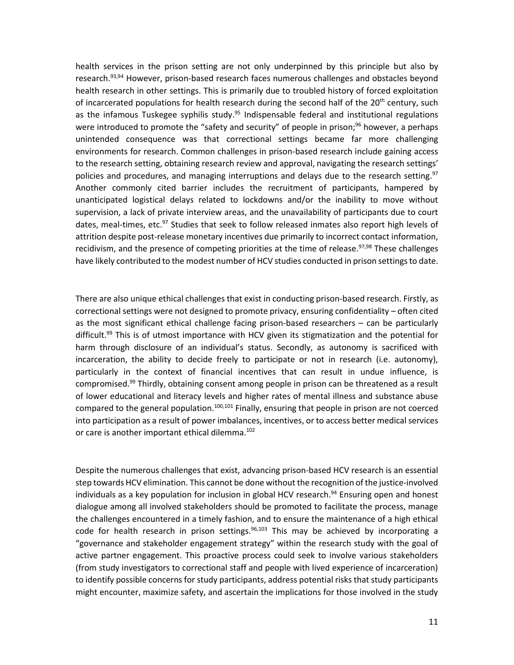health services in the prison setting are not only underpinned by this principle but also by research.<sup>93,94</sup> However, prison-based research faces numerous challenges and obstacles beyond health research in other settings. This is primarily due to troubled history of forced exploitation of incarcerated populations for health research during the second half of the 20<sup>th</sup> century, such as the infamous Tuskegee syphilis study.<sup>95</sup> Indispensable federal and institutional regulations were introduced to promote the "safety and security" of people in prison;<sup>96</sup> however, a perhaps unintended consequence was that correctional settings became far more challenging environments for research. Common challenges in prison-based research include gaining access to the research setting, obtaining research review and approval, navigating the research settings' policies and procedures, and managing interruptions and delays due to the research setting.<sup>97</sup> Another commonly cited barrier includes the recruitment of participants, hampered by unanticipated logistical delays related to lockdowns and/or the inability to move without supervision, a lack of private interview areas, and the unavailability of participants due to court dates, meal-times, etc.<sup>97</sup> Studies that seek to follow released inmates also report high levels of attrition despite post-release monetary incentives due primarily to incorrect contact information, recidivism, and the presence of competing priorities at the time of release.<sup>97,98</sup> These challenges have likely contributed to the modest number of HCV studies conducted in prison settings to date.

There are also unique ethical challenges that exist in conducting prison-based research. Firstly, as correctional settings were not designed to promote privacy, ensuring confidentiality – often cited as the most significant ethical challenge facing prison-based researchers – can be particularly difficult. <sup>99</sup> This is of utmost importance with HCV given its stigmatization and the potential for harm through disclosure of an individual's status. Secondly, as autonomy is sacrificed with incarceration, the ability to decide freely to participate or not in research (i.e. autonomy), particularly in the context of financial incentives that can result in undue influence, is compromised. <sup>99</sup> Thirdly, obtaining consent among people in prison can be threatened as a result of lower educational and literacy levels and higher rates of mental illness and substance abuse compared to the general population.<sup>100,101</sup> Finally, ensuring that people in prison are not coerced into participation as a result of power imbalances, incentives, or to access better medical services or care is another important ethical dilemma. 102

Despite the numerous challenges that exist, advancing prison-based HCV research is an essential step towards HCV elimination. This cannot be done without the recognition of the justice-involved individuals as a key population for inclusion in global HCV research.<sup>94</sup> Ensuring open and honest dialogue among all involved stakeholders should be promoted to facilitate the process, manage the challenges encountered in a timely fashion, and to ensure the maintenance of a high ethical code for health research in prison settings.<sup>96,103</sup> This may be achieved by incorporating a "governance and stakeholder engagement strategy" within the research study with the goal of active partner engagement. This proactive process could seek to involve various stakeholders (from study investigators to correctional staff and people with lived experience of incarceration) to identify possible concerns for study participants, address potential risks that study participants might encounter, maximize safety, and ascertain the implications for those involved in the study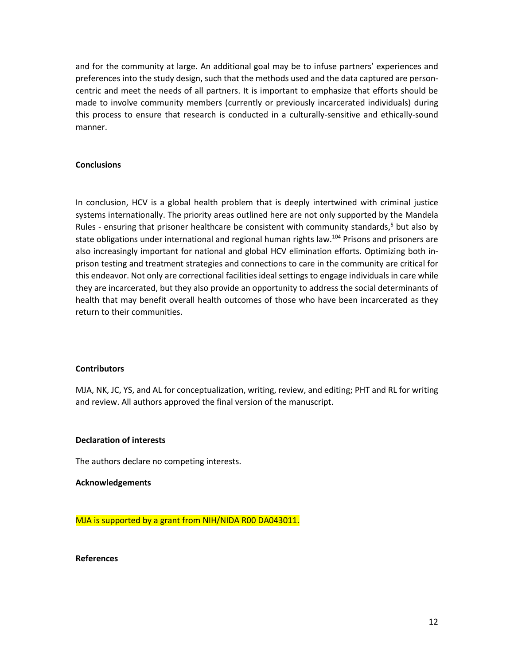and for the community at large. An additional goal may be to infuse partners' experiences and preferences into the study design, such that the methods used and the data captured are personcentric and meet the needs of all partners. It is important to emphasize that efforts should be made to involve community members (currently or previously incarcerated individuals) during this process to ensure that research is conducted in a culturally-sensitive and ethically-sound manner.

## **Conclusions**

In conclusion, HCV is a global health problem that is deeply intertwined with criminal justice systems internationally. The priority areas outlined here are not only supported by the Mandela Rules - ensuring that prisoner healthcare be consistent with community standards,<sup>5</sup> but also by state obligations under international and regional human rights law.<sup>104</sup> Prisons and prisoners are also increasingly important for national and global HCV elimination efforts. Optimizing both inprison testing and treatment strategies and connections to care in the community are critical for this endeavor. Not only are correctional facilities ideal settings to engage individuals in care while they are incarcerated, but they also provide an opportunity to address the social determinants of health that may benefit overall health outcomes of those who have been incarcerated as they return to their communities.

## **Contributors**

MJA, NK, JC, YS, and AL for conceptualization, writing, review, and editing; PHT and RL for writing and review. All authors approved the final version of the manuscript.

### **Declaration of interests**

The authors declare no competing interests.

### **Acknowledgements**

MJA is supported by a grant from NIH/NIDA R00 DA043011.

### **References**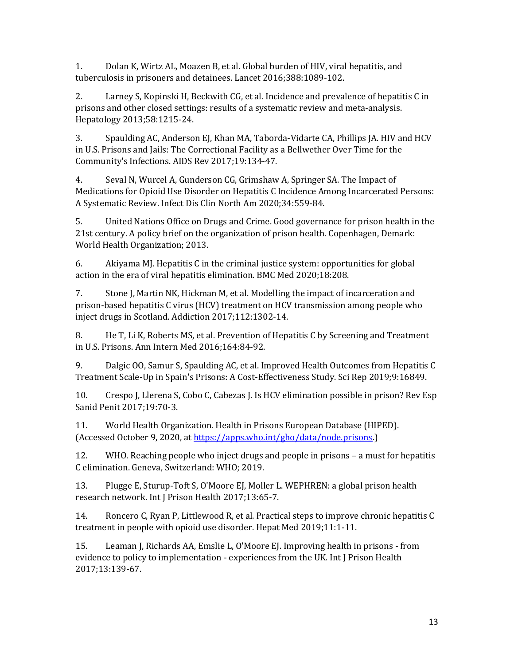1. Dolan K, Wirtz AL, Moazen B, et al. Global burden of HIV, viral hepatitis, and tuberculosis in prisoners and detainees. Lancet 2016;388:1089-102.

2. Larney S, Kopinski H, Beckwith CG, et al. Incidence and prevalence of hepatitis C in prisons and other closed settings: results of a systematic review and meta-analysis. Hepatology 2013;58:1215-24.

3. Spaulding AC, Anderson EJ, Khan MA, Taborda-Vidarte CA, Phillips JA. HIV and HCV in U.S. Prisons and Jails: The Correctional Facility as a Bellwether Over Time for the Community's Infections. AIDS Rev 2017;19:134-47.

4. Seval N, Wurcel A, Gunderson CG, Grimshaw A, Springer SA. The Impact of Medications for Opioid Use Disorder on Hepatitis C Incidence Among Incarcerated Persons: A Systematic Review. Infect Dis Clin North Am 2020;34:559-84.

5. United Nations Office on Drugs and Crime. Good governance for prison health in the 21st century. A policy brief on the organization of prison health. Copenhagen, Demark: World Health Organization; 2013.

6. Akiyama MJ. Hepatitis C in the criminal justice system: opportunities for global action in the era of viral hepatitis elimination. BMC Med 2020;18:208.

7. Stone J, Martin NK, Hickman M, et al. Modelling the impact of incarceration and prison-based hepatitis C virus (HCV) treatment on HCV transmission among people who inject drugs in Scotland. Addiction 2017;112:1302-14.

8. He T, Li K, Roberts MS, et al. Prevention of Hepatitis C by Screening and Treatment in U.S. Prisons. Ann Intern Med 2016;164:84-92.

9. Dalgic OO, Samur S, Spaulding AC, et al. Improved Health Outcomes from Hepatitis C Treatment Scale-Up in Spain's Prisons: A Cost-Effectiveness Study. Sci Rep 2019;9:16849.

10. Crespo J, Llerena S, Cobo C, Cabezas J. Is HCV elimination possible in prison? Rev Esp Sanid Penit 2017;19:70-3.

11. World Health Organization. Health in Prisons European Database (HIPED). (Accessed October 9, 2020, a[t https://apps.who.int/gho/data/node.prisons.](https://apps.who.int/gho/data/node.prisons))

12. WHO. Reaching people who inject drugs and people in prisons – a must for hepatitis C elimination. Geneva, Switzerland: WHO; 2019.

13. Plugge E, Sturup-Toft S, O'Moore EJ, Moller L. WEPHREN: a global prison health research network. Int J Prison Health 2017;13:65-7.

14. Roncero C, Ryan P, Littlewood R, et al. Practical steps to improve chronic hepatitis C treatment in people with opioid use disorder. Hepat Med 2019;11:1-11.

15. Leaman J, Richards AA, Emslie L, O'Moore EJ. Improving health in prisons - from evidence to policy to implementation - experiences from the UK. Int J Prison Health 2017;13:139-67.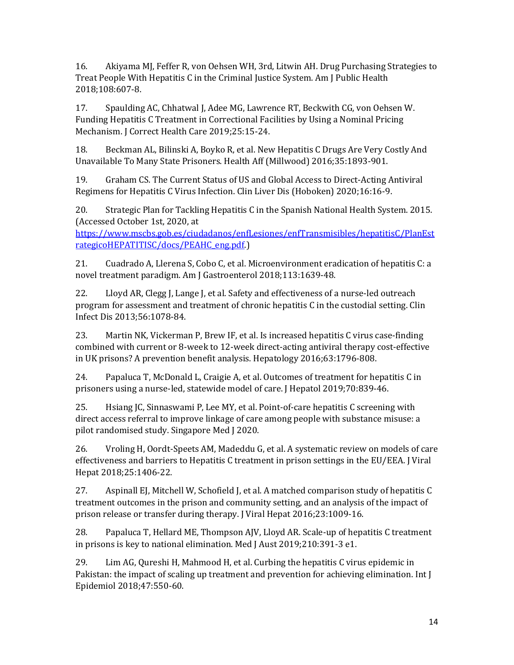16. Akiyama MJ, Feffer R, von Oehsen WH, 3rd, Litwin AH. Drug Purchasing Strategies to Treat People With Hepatitis C in the Criminal Justice System. Am J Public Health 2018;108:607-8.

17. Spaulding AC, Chhatwal J, Adee MG, Lawrence RT, Beckwith CG, von Oehsen W. Funding Hepatitis C Treatment in Correctional Facilities by Using a Nominal Pricing Mechanism. J Correct Health Care 2019;25:15-24.

18. Beckman AL, Bilinski A, Boyko R, et al. New Hepatitis C Drugs Are Very Costly And Unavailable To Many State Prisoners. Health Aff (Millwood) 2016;35:1893-901.

19. Graham CS. The Current Status of US and Global Access to Direct-Acting Antiviral Regimens for Hepatitis C Virus Infection. Clin Liver Dis (Hoboken) 2020;16:16-9.

20. Strategic Plan for Tackling Hepatitis C in the Spanish National Health System. 2015. (Accessed October 1st, 2020, at

[https://www.mscbs.gob.es/ciudadanos/enfLesiones/enfTransmisibles/hepatitisC/PlanEst](https://www.mscbs.gob.es/ciudadanos/enfLesiones/enfTransmisibles/hepatitisC/PlanEstrategicoHEPATITISC/docs/PEAHC_eng.pdf) [rategicoHEPATITISC/docs/PEAHC\\_eng.pdf.\)](https://www.mscbs.gob.es/ciudadanos/enfLesiones/enfTransmisibles/hepatitisC/PlanEstrategicoHEPATITISC/docs/PEAHC_eng.pdf)

21. Cuadrado A, Llerena S, Cobo C, et al. Microenvironment eradication of hepatitis C: a novel treatment paradigm. Am J Gastroenterol 2018;113:1639-48.

22. Lloyd AR, Clegg J, Lange J, et al. Safety and effectiveness of a nurse-led outreach program for assessment and treatment of chronic hepatitis C in the custodial setting. Clin Infect Dis 2013;56:1078-84.

23. Martin NK, Vickerman P, Brew IF, et al. Is increased hepatitis C virus case-finding combined with current or 8-week to 12-week direct-acting antiviral therapy cost-effective in UK prisons? A prevention benefit analysis. Hepatology 2016;63:1796-808.

24. Papaluca T, McDonald L, Craigie A, et al. Outcomes of treatment for hepatitis C in prisoners using a nurse-led, statewide model of care. J Hepatol 2019;70:839-46.

25. Hsiang JC, Sinnaswami P, Lee MY, et al. Point-of-care hepatitis C screening with direct access referral to improve linkage of care among people with substance misuse: a pilot randomised study. Singapore Med J 2020.

26. Vroling H, Oordt-Speets AM, Madeddu G, et al. A systematic review on models of care effectiveness and barriers to Hepatitis C treatment in prison settings in the EU/EEA. J Viral Hepat 2018;25:1406-22.

27. Aspinall EJ, Mitchell W, Schofield J, et al. A matched comparison study of hepatitis C treatment outcomes in the prison and community setting, and an analysis of the impact of prison release or transfer during therapy. J Viral Hepat 2016;23:1009-16.

28. Papaluca T, Hellard ME, Thompson AJV, Lloyd AR. Scale-up of hepatitis C treatment in prisons is key to national elimination. Med J Aust 2019;210:391-3 e1.

29. Lim AG, Qureshi H, Mahmood H, et al. Curbing the hepatitis C virus epidemic in Pakistan: the impact of scaling up treatment and prevention for achieving elimination. Int J Epidemiol 2018;47:550-60.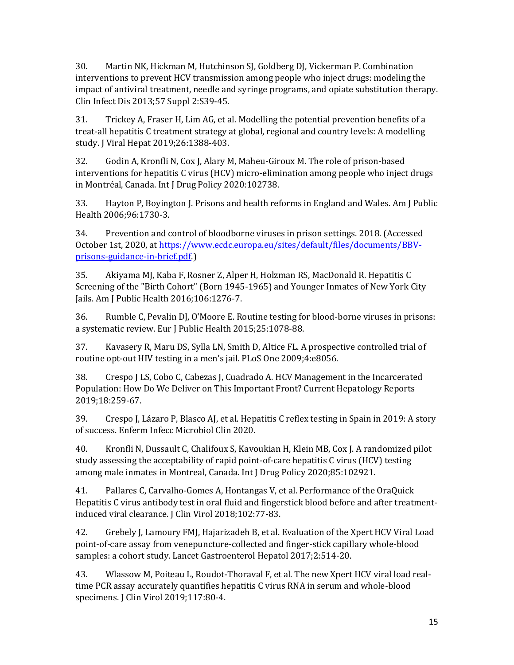30. Martin NK, Hickman M, Hutchinson SJ, Goldberg DJ, Vickerman P. Combination interventions to prevent HCV transmission among people who inject drugs: modeling the impact of antiviral treatment, needle and syringe programs, and opiate substitution therapy. Clin Infect Dis 2013;57 Suppl 2:S39-45.

31. Trickey A, Fraser H, Lim AG, et al. Modelling the potential prevention benefits of a treat-all hepatitis C treatment strategy at global, regional and country levels: A modelling study. J Viral Hepat 2019;26:1388-403.

32. Godin A, Kronfli N, Cox J, Alary M, Maheu-Giroux M. The role of prison-based interventions for hepatitis C virus (HCV) micro-elimination among people who inject drugs in Montréal, Canada. Int J Drug Policy 2020:102738.

33. Hayton P, Boyington J. Prisons and health reforms in England and Wales. Am J Public Health 2006;96:1730-3.

34. Prevention and control of bloodborne viruses in prison settings. 2018. (Accessed October 1st, 2020, a[t https://www.ecdc.europa.eu/sites/default/files/documents/BBV](https://www.ecdc.europa.eu/sites/default/files/documents/BBV-prisons-guidance-in-brief.pdf)[prisons-guidance-in-brief.pdf.](https://www.ecdc.europa.eu/sites/default/files/documents/BBV-prisons-guidance-in-brief.pdf))

35. Akiyama MJ, Kaba F, Rosner Z, Alper H, Holzman RS, MacDonald R. Hepatitis C Screening of the "Birth Cohort" (Born 1945-1965) and Younger Inmates of New York City Jails. Am J Public Health 2016;106:1276-7.

36. Rumble C, Pevalin DJ, O'Moore E. Routine testing for blood-borne viruses in prisons: a systematic review. Eur J Public Health 2015;25:1078-88.

37. Kavasery R, Maru DS, Sylla LN, Smith D, Altice FL. A prospective controlled trial of routine opt-out HIV testing in a men's jail. PLoS One 2009;4:e8056.

38. Crespo J LS, Cobo C, Cabezas J, Cuadrado A. HCV Management in the Incarcerated Population: How Do We Deliver on This Important Front? Current Hepatology Reports 2019;18:259-67.

39. Crespo J, Lázaro P, Blasco AJ, et al. Hepatitis C reflex testing in Spain in 2019: A story of success. Enferm Infecc Microbiol Clin 2020.

40. Kronfli N, Dussault C, Chalifoux S, Kavoukian H, Klein MB, Cox J. A randomized pilot study assessing the acceptability of rapid point-of-care hepatitis C virus (HCV) testing among male inmates in Montreal, Canada. Int J Drug Policy 2020;85:102921.

41. Pallares C, Carvalho-Gomes A, Hontangas V, et al. Performance of the OraQuick Hepatitis C virus antibody test in oral fluid and fingerstick blood before and after treatmentinduced viral clearance. J Clin Virol 2018;102:77-83.

42. Grebely J, Lamoury FMJ, Hajarizadeh B, et al. Evaluation of the Xpert HCV Viral Load point-of-care assay from venepuncture-collected and finger-stick capillary whole-blood samples: a cohort study. Lancet Gastroenterol Hepatol 2017;2:514-20.

43. Wlassow M, Poiteau L, Roudot-Thoraval F, et al. The new Xpert HCV viral load realtime PCR assay accurately quantifies hepatitis C virus RNA in serum and whole-blood specimens. J Clin Virol 2019;117:80-4.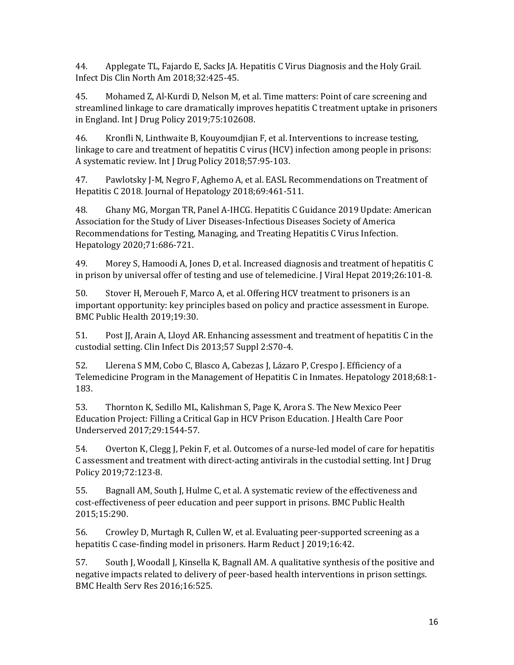44. Applegate TL, Fajardo E, Sacks JA. Hepatitis C Virus Diagnosis and the Holy Grail. Infect Dis Clin North Am 2018;32:425-45.

45. Mohamed Z, Al-Kurdi D, Nelson M, et al. Time matters: Point of care screening and streamlined linkage to care dramatically improves hepatitis C treatment uptake in prisoners in England. Int J Drug Policy 2019;75:102608.

46. Kronfli N, Linthwaite B, Kouyoumdjian F, et al. Interventions to increase testing, linkage to care and treatment of hepatitis C virus (HCV) infection among people in prisons: A systematic review. Int J Drug Policy 2018;57:95-103.

47. Pawlotsky J-M, Negro F, Aghemo A, et al. EASL Recommendations on Treatment of Hepatitis C 2018. Journal of Hepatology 2018;69:461-511.

48. Ghany MG, Morgan TR, Panel A-IHCG. Hepatitis C Guidance 2019 Update: American Association for the Study of Liver Diseases-Infectious Diseases Society of America Recommendations for Testing, Managing, and Treating Hepatitis C Virus Infection. Hepatology 2020;71:686-721.

49. Morey S, Hamoodi A, Jones D, et al. Increased diagnosis and treatment of hepatitis C in prison by universal offer of testing and use of telemedicine. J Viral Hepat 2019;26:101-8.

50. Stover H, Meroueh F, Marco A, et al. Offering HCV treatment to prisoners is an important opportunity: key principles based on policy and practice assessment in Europe. BMC Public Health 2019;19:30.

51. Post JJ, Arain A, Lloyd AR. Enhancing assessment and treatment of hepatitis C in the custodial setting. Clin Infect Dis 2013;57 Suppl 2:S70-4.

52. Llerena S MM, Cobo C, Blasco A, Cabezas J, Lázaro P, Crespo J. Efficiency of a Telemedicine Program in the Management of Hepatitis C in Inmates. Hepatology 2018;68:1- 183.

53. Thornton K, Sedillo ML, Kalishman S, Page K, Arora S. The New Mexico Peer Education Project: Filling a Critical Gap in HCV Prison Education. J Health Care Poor Underserved 2017;29:1544-57.

54. Overton K, Clegg J, Pekin F, et al. Outcomes of a nurse-led model of care for hepatitis C assessment and treatment with direct-acting antivirals in the custodial setting. Int J Drug Policy 2019;72:123-8.

55. Bagnall AM, South J, Hulme C, et al. A systematic review of the effectiveness and cost-effectiveness of peer education and peer support in prisons. BMC Public Health 2015;15:290.

56. Crowley D, Murtagh R, Cullen W, et al. Evaluating peer-supported screening as a hepatitis C case-finding model in prisoners. Harm Reduct J 2019;16:42.

57. South J, Woodall J, Kinsella K, Bagnall AM. A qualitative synthesis of the positive and negative impacts related to delivery of peer-based health interventions in prison settings. BMC Health Serv Res 2016;16:525.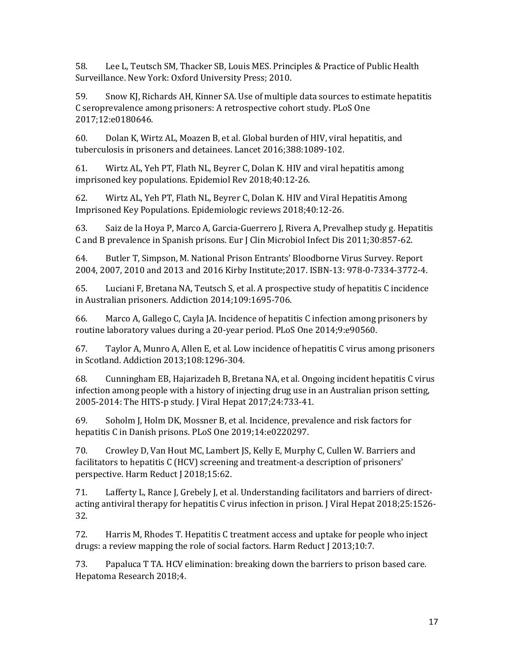58. Lee L, Teutsch SM, Thacker SB, Louis MES. Principles & Practice of Public Health Surveillance. New York: Oxford University Press; 2010.

59. Snow KJ, Richards AH, Kinner SA. Use of multiple data sources to estimate hepatitis C seroprevalence among prisoners: A retrospective cohort study. PLoS One 2017;12:e0180646.

60. Dolan K, Wirtz AL, Moazen B, et al. Global burden of HIV, viral hepatitis, and tuberculosis in prisoners and detainees. Lancet 2016;388:1089-102.

61. Wirtz AL, Yeh PT, Flath NL, Beyrer C, Dolan K. HIV and viral hepatitis among imprisoned key populations. Epidemiol Rev 2018;40:12-26.

62. Wirtz AL, Yeh PT, Flath NL, Beyrer C, Dolan K. HIV and Viral Hepatitis Among Imprisoned Key Populations. Epidemiologic reviews 2018;40:12-26.

63. Saiz de la Hoya P, Marco A, Garcia-Guerrero J, Rivera A, Prevalhep study g. Hepatitis C and B prevalence in Spanish prisons. Eur J Clin Microbiol Infect Dis 2011;30:857-62.

64. Butler T, Simpson, M. National Prison Entrants' Bloodborne Virus Survey. Report 2004, 2007, 2010 and 2013 and 2016 Kirby Institute;2017. ISBN-13: 978-0-7334-3772-4.

65. Luciani F, Bretana NA, Teutsch S, et al. A prospective study of hepatitis C incidence in Australian prisoners. Addiction 2014;109:1695-706.

66. Marco A, Gallego C, Cayla JA. Incidence of hepatitis C infection among prisoners by routine laboratory values during a 20-year period. PLoS One 2014;9:e90560.

67. Taylor A, Munro A, Allen E, et al. Low incidence of hepatitis C virus among prisoners in Scotland. Addiction 2013;108:1296-304.

68. Cunningham EB, Hajarizadeh B, Bretana NA, et al. Ongoing incident hepatitis C virus infection among people with a history of injecting drug use in an Australian prison setting, 2005-2014: The HITS-p study. J Viral Hepat 2017;24:733-41.

69. Soholm J, Holm DK, Mossner B, et al. Incidence, prevalence and risk factors for hepatitis C in Danish prisons. PLoS One 2019;14:e0220297.

70. Crowley D, Van Hout MC, Lambert JS, Kelly E, Murphy C, Cullen W. Barriers and facilitators to hepatitis C (HCV) screening and treatment-a description of prisoners' perspective. Harm Reduct J 2018;15:62.

71. Lafferty L, Rance J, Grebely J, et al. Understanding facilitators and barriers of directacting antiviral therapy for hepatitis C virus infection in prison. J Viral Hepat 2018;25:1526- 32.

72. Harris M, Rhodes T. Hepatitis C treatment access and uptake for people who inject drugs: a review mapping the role of social factors. Harm Reduct J 2013;10:7.

73. Papaluca T TA. HCV elimination: breaking down the barriers to prison based care. Hepatoma Research 2018;4.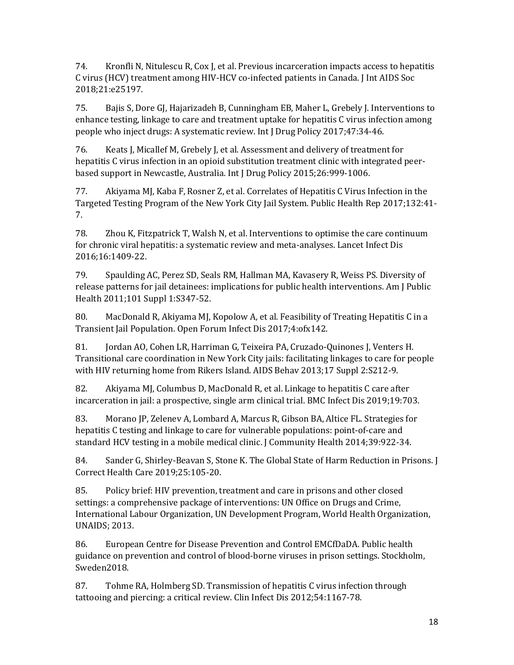74. Kronfli N, Nitulescu R, Cox J, et al. Previous incarceration impacts access to hepatitis C virus (HCV) treatment among HIV-HCV co-infected patients in Canada. J Int AIDS Soc 2018;21:e25197.

75. Bajis S, Dore GJ, Hajarizadeh B, Cunningham EB, Maher L, Grebely J. Interventions to enhance testing, linkage to care and treatment uptake for hepatitis C virus infection among people who inject drugs: A systematic review. Int J Drug Policy 2017;47:34-46.

76. Keats J, Micallef M, Grebely J, et al. Assessment and delivery of treatment for hepatitis C virus infection in an opioid substitution treatment clinic with integrated peerbased support in Newcastle, Australia. Int J Drug Policy 2015;26:999-1006.

77. Akiyama MJ, Kaba F, Rosner Z, et al. Correlates of Hepatitis C Virus Infection in the Targeted Testing Program of the New York City Jail System. Public Health Rep 2017;132:41- 7.

78. Zhou K, Fitzpatrick T, Walsh N, et al. Interventions to optimise the care continuum for chronic viral hepatitis: a systematic review and meta-analyses. Lancet Infect Dis 2016;16:1409-22.

79. Spaulding AC, Perez SD, Seals RM, Hallman MA, Kavasery R, Weiss PS. Diversity of release patterns for jail detainees: implications for public health interventions. Am J Public Health 2011;101 Suppl 1:S347-52.

80. MacDonald R, Akiyama MJ, Kopolow A, et al. Feasibility of Treating Hepatitis C in a Transient Jail Population. Open Forum Infect Dis 2017;4:ofx142.

81. Jordan AO, Cohen LR, Harriman G, Teixeira PA, Cruzado-Quinones J, Venters H. Transitional care coordination in New York City jails: facilitating linkages to care for people with HIV returning home from Rikers Island. AIDS Behav 2013;17 Suppl 2:S212-9.

82. Akiyama MJ, Columbus D, MacDonald R, et al. Linkage to hepatitis C care after incarceration in jail: a prospective, single arm clinical trial. BMC Infect Dis 2019;19:703.

83. Morano JP, Zelenev A, Lombard A, Marcus R, Gibson BA, Altice FL. Strategies for hepatitis C testing and linkage to care for vulnerable populations: point-of-care and standard HCV testing in a mobile medical clinic. J Community Health 2014;39:922-34.

84. Sander G, Shirley-Beavan S, Stone K. The Global State of Harm Reduction in Prisons. J Correct Health Care 2019;25:105-20.

85. Policy brief: HIV prevention, treatment and care in prisons and other closed settings: a comprehensive package of interventions: UN Office on Drugs and Crime, International Labour Organization, UN Development Program, World Health Organization, UNAIDS; 2013.

86. European Centre for Disease Prevention and Control EMCfDaDA. Public health guidance on prevention and control of blood-borne viruses in prison settings. Stockholm, Sweden2018.

87. Tohme RA, Holmberg SD. Transmission of hepatitis C virus infection through tattooing and piercing: a critical review. Clin Infect Dis 2012;54:1167-78.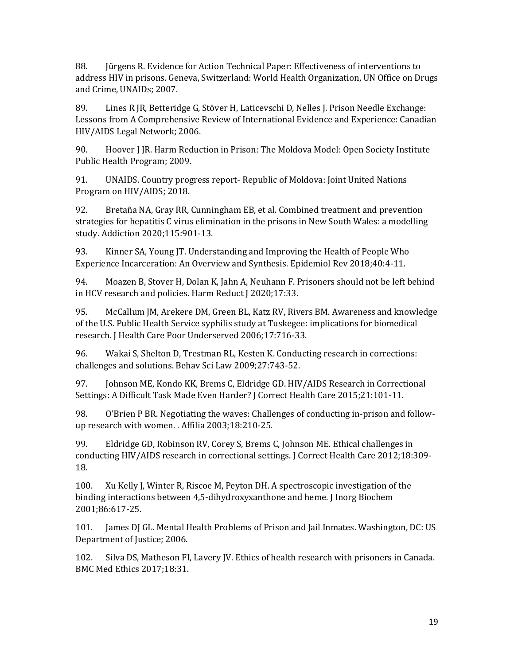88. Jürgens R. Evidence for Action Technical Paper: Effectiveness of interventions to address HIV in prisons. Geneva, Switzerland: World Health Organization, UN Office on Drugs and Crime, UNAIDs; 2007.

89. Lines R JR, Betteridge G, Stöver H, Laticevschi D, Nelles J. Prison Needle Exchange: Lessons from A Comprehensive Review of International Evidence and Experience: Canadian HIV/AIDS Legal Network; 2006.

90. Hoover J JR. Harm Reduction in Prison: The Moldova Model: Open Society Institute Public Health Program; 2009.

91. UNAIDS. Country progress report- Republic of Moldova: Joint United Nations Program on HIV/AIDS; 2018.

92. Bretaña NA, Gray RR, Cunningham EB, et al. Combined treatment and prevention strategies for hepatitis C virus elimination in the prisons in New South Wales: a modelling study. Addiction 2020;115:901-13.

93. Kinner SA, Young JT. Understanding and Improving the Health of People Who Experience Incarceration: An Overview and Synthesis. Epidemiol Rev 2018;40:4-11.

94. Moazen B, Stover H, Dolan K, Jahn A, Neuhann F. Prisoners should not be left behind in HCV research and policies. Harm Reduct J 2020;17:33.

95. McCallum JM, Arekere DM, Green BL, Katz RV, Rivers BM. Awareness and knowledge of the U.S. Public Health Service syphilis study at Tuskegee: implications for biomedical research. J Health Care Poor Underserved 2006;17:716-33.

96. Wakai S, Shelton D, Trestman RL, Kesten K. Conducting research in corrections: challenges and solutions. Behav Sci Law 2009;27:743-52.

97. Johnson ME, Kondo KK, Brems C, Eldridge GD. HIV/AIDS Research in Correctional Settings: A Difficult Task Made Even Harder? J Correct Health Care 2015;21:101-11.

98. O'Brien P BR. Negotiating the waves: Challenges of conducting in-prison and followup research with women. . Affilia 2003;18:210-25.

99. Eldridge GD, Robinson RV, Corey S, Brems C, Johnson ME. Ethical challenges in conducting HIV/AIDS research in correctional settings. J Correct Health Care 2012;18:309- 18.

100. Xu Kelly J, Winter R, Riscoe M, Peyton DH. A spectroscopic investigation of the binding interactions between 4,5-dihydroxyxanthone and heme. J Inorg Biochem 2001;86:617-25.

101. James DJ GL. Mental Health Problems of Prison and Jail Inmates. Washington, DC: US Department of Justice; 2006.

102. Silva DS, Matheson FI, Lavery JV. Ethics of health research with prisoners in Canada. BMC Med Ethics 2017;18:31.